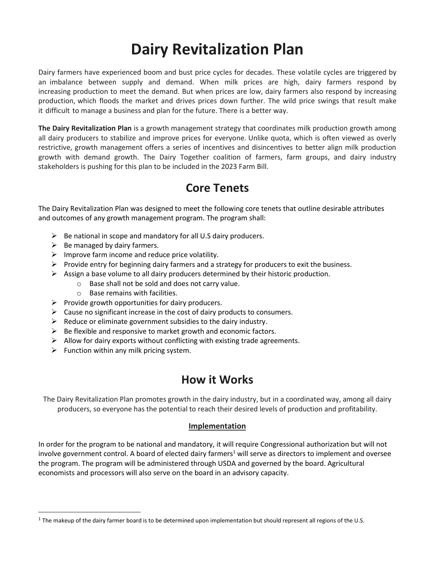# **Dairy Revitalization Plan**

Dairy farmers have experienced boom and bust price cycles for decades. These volatile cycles are triggered by an imbalance between supply and demand. When milk prices are high, dairy farmers respond by increasing production to meet the demand. But when prices are low, dairy farmers also respond by increasing production, which floods the market and drives prices down further. The wild price swings that result make it difficult to manage a business and plan for the future. There is a better way.

**The Dairy Revitalization Plan** is a growth management strategy that coordinates milk production growth among all dairy producers to stabilize and improve prices for everyone. Unlike quota, which is often viewed as overly restrictive, growth management offers a series of incentives and disincentives to better align milk production growth with demand growth. The Dairy Together coalition of farmers, farm groups, and dairy industry stakeholders is pushing for this plan to be included in the 2023 Farm Bill.

## **Core Tenets**

The Dairy Revitalization Plan was designed to meet the following core tenets that outline desirable attributes and outcomes of any growth management program. The program shall:

- $\triangleright$  Be national in scope and mandatory for all U.S dairy producers.
- $\triangleright$  Be managed by dairy farmers.
- $\triangleright$  Improve farm income and reduce price volatility.
- $\triangleright$  Provide entry for beginning dairy farmers and a strategy for producers to exit the business.
- $\triangleright$  Assign a base volume to all dairy producers determined by their historic production.
	- o Base shall not be sold and does not carry value.
	- o Base remains with facilities.
- $\triangleright$  Provide growth opportunities for dairy producers.
- $\triangleright$  Cause no significant increase in the cost of dairy products to consumers.
- $\triangleright$  Reduce or eliminate government subsidies to the dairy industry.
- $\triangleright$  Be flexible and responsive to market growth and economic factors.
- $\triangleright$  Allow for dairy exports without conflicting with existing trade agreements.
- $\triangleright$  Function within any milk pricing system.

### **How it Works**

The Dairy Revitalization Plan promotes growth in the dairy industry, but in a coordinated way, among all dairy producers, so everyone has the potential to reach their desired levels of production and profitability.

#### **Implementation**

In order for the program to be national and mandatory, it will require Congressional authorization but will not involve government control. A board of elected dairy farmers<sup>1</sup> will serve as directors to implement and oversee the program. The program will be administered through USDA and governed by the board. Agricultural economists and processors will also serve on the board in an advisory capacity.

 $1$  The makeup of the dairy farmer board is to be determined upon implementation but should represent all regions of the U.S.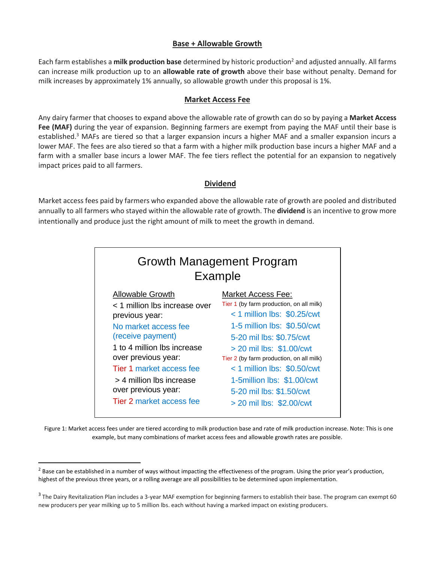#### **Base + Allowable Growth**

Each farm establishes a **milk production base** determined by historic production<sup>2</sup> and adjusted annually. All farms can increase milk production up to an **allowable rate of growth** above their base without penalty. Demand for milk increases by approximately 1% annually, so allowable growth under this proposal is 1%.

#### **Market Access Fee**

Any dairy farmer that chooses to expand above the allowable rate of growth can do so by paying a **Market Access Fee (MAF)** during the year of expansion. Beginning farmers are exempt from paying the MAF until their base is established.<sup>3</sup> MAFs are tiered so that a larger expansion incurs a higher MAF and a smaller expansion incurs a lower MAF. The fees are also tiered so that a farm with a higher milk production base incurs a higher MAF and a farm with a smaller base incurs a lower MAF. The fee tiers reflect the potential for an expansion to negatively impact prices paid to all farmers.

#### **Dividend**

Market access fees paid by farmers who expanded above the allowable rate of growth are pooled and distributed annually to all farmers who stayed within the allowable rate of growth. The **dividend** is an incentive to grow more intentionally and produce just the right amount of milk to meet the growth in demand.

| Growth Management Program<br>Example            |                                                                           |  |  |  |  |  |  |  |
|-------------------------------------------------|---------------------------------------------------------------------------|--|--|--|--|--|--|--|
| <b>Allowable Growth</b>                         | <b>Market Access Fee:</b>                                                 |  |  |  |  |  |  |  |
| < 1 million lbs increase over<br>previous year: | Tier 1 (by farm production, on all milk)<br>$<$ 1 million lbs: \$0.25/cwt |  |  |  |  |  |  |  |
| No market access fee                            | 1-5 million lbs: \$0.50/cwt                                               |  |  |  |  |  |  |  |
| (receive payment)                               | 5-20 mil lbs: \$0.75/cwt                                                  |  |  |  |  |  |  |  |
| 1 to 4 million lbs increase                     | > 20 mil lbs: \$1.00/cwt                                                  |  |  |  |  |  |  |  |
| over previous year:                             | Tier 2 (by farm production, on all milk)                                  |  |  |  |  |  |  |  |
| Tier 1 market access fee                        | $<$ 1 million lbs: \$0.50/cwt                                             |  |  |  |  |  |  |  |
| > 4 million lbs increase                        | 1-5million lbs: \$1.00/cwt                                                |  |  |  |  |  |  |  |
| over previous year:                             | 5-20 mil lbs: \$1.50/cwt                                                  |  |  |  |  |  |  |  |
| Tier 2 market access fee                        | > 20 mil lbs: \$2.00/cwt                                                  |  |  |  |  |  |  |  |

 Figure 1: Market access fees under are tiered according to milk production base and rate of milk production increase. Note: This is one example, but many combinations of market access fees and allowable growth rates are possible.

 $\overline{a}$ 

 $<sup>2</sup>$  Base can be established in a number of ways without impacting the effectiveness of the program. Using the prior year's production,</sup> highest of the previous three years, or a rolling average are all possibilities to be determined upon implementation.

<sup>&</sup>lt;sup>3</sup> The Dairy Revitalization Plan includes a 3-year MAF exemption for beginning farmers to establish their base. The program can exempt 60 new producers per year milking up to 5 million lbs. each without having a marked impact on existing producers.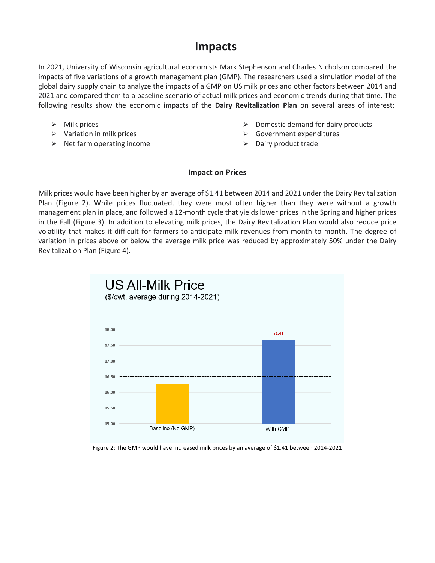### **Impacts**

In 2021, University of Wisconsin agricultural economists Mark Stephenson and Charles Nicholson compared the impacts of five variations of a growth management plan (GMP). The researchers used a simulation model of the global dairy supply chain to analyze the impacts of a GMP on US milk prices and other factors between 2014 and 2021 and compared them to a baseline scenario of actual milk prices and economic trends during that time. The following results show the economic impacts of the **Dairy Revitalization Plan** on several areas of interest:

- $\triangleright$  Milk prices
- $\triangleright$  Variation in milk prices
- $\triangleright$  Net farm operating income
- $\triangleright$  Domestic demand for dairy products
- Government expenditures
- $\triangleright$  Dairy product trade

#### **Impact on Prices**

Milk prices would have been higher by an average of \$1.41 between 2014 and 2021 under the Dairy Revitalization Plan (Figure 2). While prices fluctuated, they were most often higher than they were without a growth management plan in place, and followed a 12-month cycle that yields lower prices in the Spring and higher prices in the Fall (Figure 3). In addition to elevating milk prices, the Dairy Revitalization Plan would also reduce price volatility that makes it difficult for farmers to anticipate milk revenues from month to month. The degree of variation in prices above or below the average milk price was reduced by approximately 50% under the Dairy Revitalization Plan (Figure 4).



Figure 2: The GMP would have increased milk prices by an average of \$1.41 between 2014-2021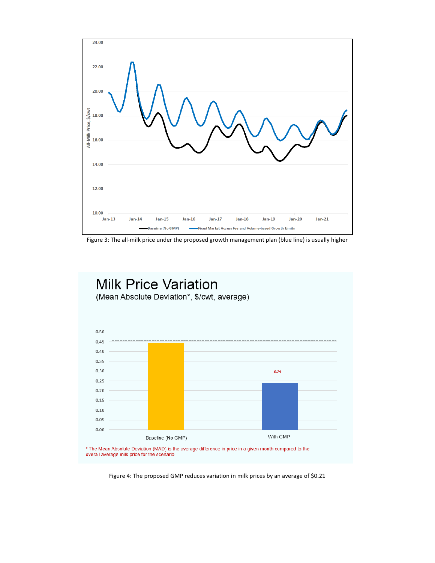

Figure 3: The all-milk price under the proposed growth management plan (blue line) is usually higher



Figure 4: The proposed GMP reduces variation in milk prices by an average of \$0.21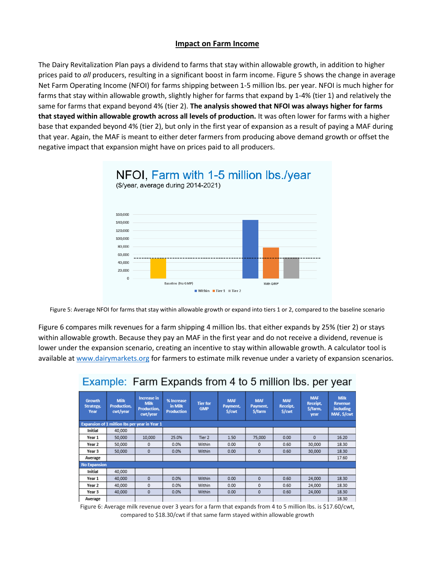#### **Impact on Farm Income**

The Dairy Revitalization Plan pays a dividend to farms that stay within allowable growth, in addition to higher prices paid to *all* producers, resulting in a significant boost in farm income. Figure 5 shows the change in average Net Farm Operating Income (NFOI) for farms shipping between 1-5 million lbs. per year. NFOI is much higher for farms that stay within allowable growth, slightly higher for farms that expand by 1-4% (tier 1) and relatively the same for farms that expand beyond 4% (tier 2). **The analysis showed that NFOI was always higher for farms that stayed within allowable growth across all levels of production.** It was often lower for farms with a higher base that expanded beyond 4% (tier 2), but only in the first year of expansion as a result of paying a MAF during that year. Again, the MAF is meant to either deter farmers from producing above demand growth or offset the negative impact that expansion might have on prices paid to all producers.



Figure 5: Average NFOI for farms that stay within allowable growth or expand into tiers 1 or 2, compared to the baseline scenario

Figure 6 compares milk revenues for a farm shipping 4 million lbs. that either expands by 25% (tier 2) or stays within allowable growth. Because they pay an MAF in the first year and do not receive a dividend, revenue is lower under the expansion scenario, creating an incentive to stay within allowable growth. A calculator tool is available a[t www.dairymarkets.org](http://www.dairymarkets.org/) for farmers to estimate milk revenue under a variety of expansion scenarios.

| <b>Growth</b><br>Strategy,<br>Year                   | <b>Milk</b><br><b>Production,</b><br>cwt/year | Increase in<br><b>Milk</b><br><b>Production,</b><br>cwt/year | % Increase<br>in Milk<br><b>Production</b> | <b>Tier for</b><br><b>GMP</b> | <b>MAF</b><br>Payment,<br>\$/cwt | <b>MAF</b><br>Payment.<br>\$/farm | <b>MAF</b><br>Receipt.<br>S/cwt | <b>MAF</b><br>Receipt.<br>S/farm.<br>year | <b>Milk</b><br><b>Revenue</b><br><i>including</i><br>MAF, \$/cwt |  |  |
|------------------------------------------------------|-----------------------------------------------|--------------------------------------------------------------|--------------------------------------------|-------------------------------|----------------------------------|-----------------------------------|---------------------------------|-------------------------------------------|------------------------------------------------------------------|--|--|
| <b>Expansion of 1 million lbs per year in Year 1</b> |                                               |                                                              |                                            |                               |                                  |                                   |                                 |                                           |                                                                  |  |  |
| Initial                                              | 40,000                                        |                                                              |                                            |                               |                                  |                                   |                                 |                                           |                                                                  |  |  |
| Year 1                                               | 50,000                                        | 10,000                                                       | 25.0%                                      | Tier 2                        | 1.50                             | 75,000                            | 0.00                            | $\Omega$                                  | 16.20                                                            |  |  |
| Year 2                                               | 50,000                                        | 0                                                            | 0.0%                                       | Within                        | 0.00                             | 0                                 | 0.60                            | 30,000                                    | 18.30                                                            |  |  |
| Year 3                                               | 50,000                                        | $\mathbf{0}$                                                 | 0.0%                                       | Within                        | 0.00                             | $\mathbf{0}$                      | 0.60                            | 30,000                                    | 18.30                                                            |  |  |
| Average                                              |                                               |                                                              |                                            |                               |                                  |                                   |                                 |                                           | 17.60                                                            |  |  |
| <b>No Expansion</b>                                  |                                               |                                                              |                                            |                               |                                  |                                   |                                 |                                           |                                                                  |  |  |
| Initial                                              | 40,000                                        |                                                              |                                            |                               |                                  |                                   |                                 |                                           |                                                                  |  |  |
| Year 1                                               | 40,000                                        | $\mathbf{0}$                                                 | 0.0%                                       | Within                        | 0.00                             | $\mathbf{0}$                      | 0.60                            | 24,000                                    | 18.30                                                            |  |  |
| Year 2                                               | 40,000                                        | $\mathbf{0}$                                                 | 0.0%                                       | Within                        | 0.00                             | 0                                 | 0.60                            | 24,000                                    | 18.30                                                            |  |  |
| Year 3                                               | 40,000                                        | $\Omega$                                                     | 0.0%                                       | Within                        | 0.00                             | $\circ$                           | 0.60                            | 24,000                                    | 18.30                                                            |  |  |
| Average                                              |                                               |                                                              |                                            |                               |                                  |                                   |                                 |                                           | 18.30                                                            |  |  |

### Example: Farm Expands from 4 to 5 million lbs. per year

Figure 6: Average milk revenue over 3 years for a farm that expands from 4 to 5 million lbs. is \$17.60/cwt, compared to \$18.30/cwt if that same farm stayed within allowable growth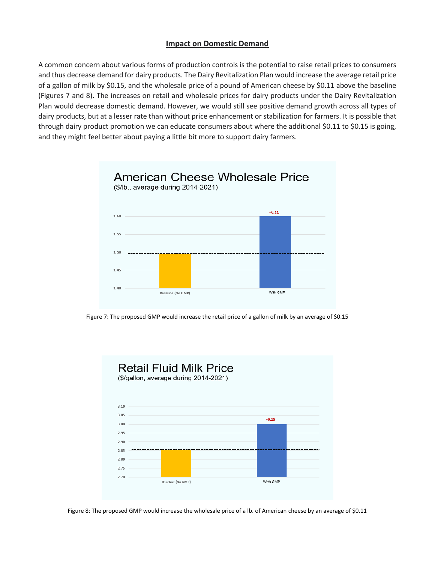#### **Impact on Domestic Demand**

A common concern about various forms of production controls is the potential to raise retail prices to consumers and thus decrease demand for dairy products. The Dairy Revitalization Plan would increase the average retail price of a gallon of milk by \$0.15, and the wholesale price of a pound of American cheese by \$0.11 above the baseline (Figures 7 and 8). The increases on retail and wholesale prices for dairy products under the Dairy Revitalization Plan would decrease domestic demand. However, we would still see positive demand growth across all types of dairy products, but at a lesser rate than without price enhancement or stabilization for farmers. It is possible that through dairy product promotion we can educate consumers about where the additional \$0.11 to \$0.15 is going, and they might feel better about paying a little bit more to support dairy farmers.



Figure 7: The proposed GMP would increase the retail price of a gallon of milk by an average of \$0.15



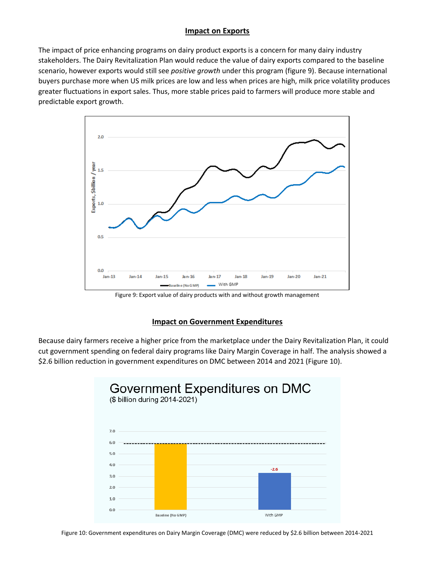#### **Impact on Exports**

The impact of price enhancing programs on dairy product exports is a concern for many dairy industry stakeholders. The Dairy Revitalization Plan would reduce the value of dairy exports compared to the baseline scenario, however exports would still see *positive growth* under this program (figure 9). Because international buyers purchase more when US milk prices are low and less when prices are high, milk price volatility produces greater fluctuations in export sales. Thus, more stable prices paid to farmers will produce more stable and predictable export growth.



Figure 9: Export value of dairy products with and without growth management

#### **Impact on Government Expenditures**

Because dairy farmers receive a higher price from the marketplace under the Dairy Revitalization Plan, it could cut government spending on federal dairy programs like Dairy Margin Coverage in half. The analysis showed a \$2.6 billion reduction in government expenditures on DMC between 2014 and 2021 (Figure 10).



Figure 10: Government expenditures on Dairy Margin Coverage (DMC) were reduced by \$2.6 billion between 2014-2021